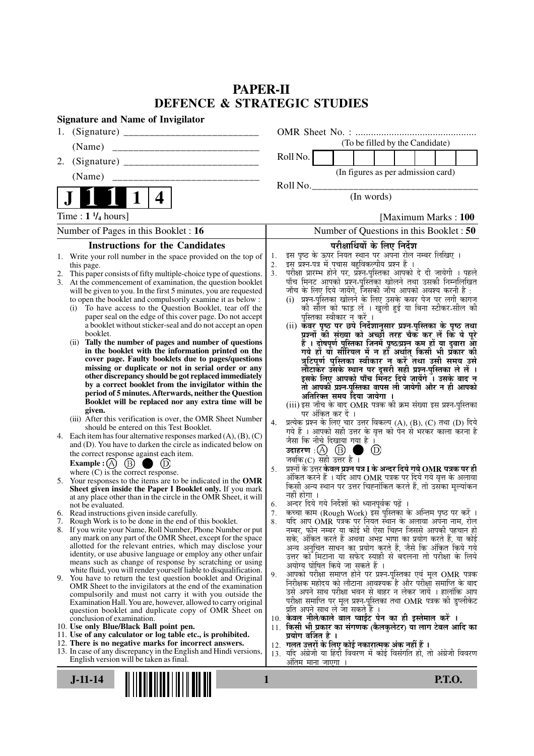## **PAPER-II DEFENCE & STRATEGIC STUDIES**

| <b>Signature and Name of Invigilator</b>                                                                                                 |                                                                                                                                 |
|------------------------------------------------------------------------------------------------------------------------------------------|---------------------------------------------------------------------------------------------------------------------------------|
| 1.                                                                                                                                       |                                                                                                                                 |
| (Name)                                                                                                                                   | (To be filled by the Candidate)                                                                                                 |
| 2.                                                                                                                                       | Roll No.                                                                                                                        |
| (Name)                                                                                                                                   | (In figures as per admission card)                                                                                              |
| 4                                                                                                                                        | Roll No.<br>(In words)                                                                                                          |
|                                                                                                                                          |                                                                                                                                 |
| Time : $1 \frac{1}{4}$ hours]                                                                                                            | [Maximum Marks: 100]                                                                                                            |
| Number of Pages in this Booklet : 16                                                                                                     | Number of Questions in this Booklet: 50                                                                                         |
| <b>Instructions for the Candidates</b>                                                                                                   | परीक्षार्थियों के लिए निर्देश                                                                                                   |
| Write your roll number in the space provided on the top of<br>1.                                                                         | इस पृष्ठ के ऊपर नियत स्थान पर अपना रोल नम्बर लिखिए ।<br>1.<br>इस प्रश्न-पत्र में पचास बहुविकल्पीय प्रश्न हैं।<br>2.             |
| this page.<br>This paper consists of fifty multiple-choice type of questions.<br>2.                                                      | 3.                                                                                                                              |
| 3.<br>At the commencement of examination, the question booklet                                                                           | परीक्षा प्रारम्भ होने पर, प्रॅश्न-पुस्तिका आपको दे दी जायेगी । पहले<br>पाँच मिनट आपको प्रश्न-पुस्तिका खोलने तथा उसकी निम्नलिखित |
| will be given to you. In the first 5 minutes, you are requested                                                                          | जाँच के लिए दिये जायेंगे, जिसकी जाँच आपको अवश्य करनी है :                                                                       |
| to open the booklet and compulsorily examine it as below :                                                                               | (i) प्रश्न-पुस्तिका खोलने के लिए उसके कवर पेज पर लगी कागज                                                                       |
| To have access to the Question Booklet, tear off the<br>(i)<br>paper seal on the edge of this cover page. Do not accept                  | की सील को फाड़ लें । खुली हुई या बिना स्टीकर-सील की<br>पुस्तिका स्वीकार न करें ।                                                |
| a booklet without sticker-seal and do not accept an open                                                                                 | (ii) कॅवर पृष्ठ पर छपे निर्देशानुसार प्रश्न-पुस्तिका के पृष्ठ तथा                                                               |
| booklet.                                                                                                                                 | प्रश्नों की संख्या को अच्छी तरह चैक कर लें कि ये पूरे                                                                           |
| (ii) Tally the number of pages and number of questions                                                                                   | हैं । दोषपूर्ण पुस्तिका जिनमें पृष्ठ/प्रश्न कम हों या दुबारा आ<br>गये हो या सीरियल में न हो अर्थात् किसी भी प्रकार की           |
| in the booklet with the information printed on the<br>cover page. Faulty booklets due to pages/questions                                 |                                                                                                                                 |
| missing or duplicate or not in serial order or any                                                                                       | त्रुटिपूर्ण पुस्तिका स्वीकार न करें तथा उसी समय उसे                                                                             |
| other discrepancy should be got replaced immediately                                                                                     | लौटाकर उसके स्थान पर दूसरी सही प्रश्न-पुस्तिका ले लें ।<br>इसके लिए आपको पाँच मिनट दिये जायेंगे । उसके बाद न                    |
| by a correct booklet from the invigilator within the                                                                                     | तो आपकी प्रश्न-पुस्तिका वापस ली जायेगी और न ही आपको                                                                             |
| period of 5 minutes. Afterwards, neither the Question<br>Booklet will be replaced nor any extra time will be                             | अतिरिक्त समय दिया जायेगा ।                                                                                                      |
| given.                                                                                                                                   | (iii) इस जाँच के बाद OMR पत्रक की क्रम संख्या इस प्रश्न-पुस्तिका                                                                |
| (iii) After this verification is over, the OMR Sheet Number                                                                              | पर अंकित कर दें ।<br>प्रत्येक प्रश्न के लिए चार उत्तर विकल्प (A), (B), (C) तथा (D) दिये<br>4.                                   |
| should be entered on this Test Booklet.                                                                                                  | गये हैं । आपको सही उत्तर के वृत्त को पेन से भरकर काला करना है                                                                   |
| 4. Each item has four alternative responses marked $(A)$ , $(B)$ , $(C)$<br>and (D). You have to darken the circle as indicated below on | जैसा कि नीचे दिखाया गया है ।                                                                                                    |
| the correct response against each item.                                                                                                  | उदाहरण: $(A)$ $(B)$<br>$^{\circ}$                                                                                               |
| Example : (A) $(B)$<br>$\bigcirc$ (D)                                                                                                    | जबकि (C) सही उत्तर है $\overline{1}$                                                                                            |
| where $(C)$ is the correct response.                                                                                                     | प्रश्नों के उत्तर <b>केवल प्रश्न पत्र I के अन्दर दिये गये OMR पत्रक पर ही</b><br>5.                                             |
| 5. Your responses to the items are to be indicated in the OMR                                                                            | अंकित करने हैं । यदि आप OMR पत्रक पर दिये गये वृत्त के अलावा<br>किसी अन्य स्थान पर उत्तर चिह्नांकित करते हैं, तो उसका मूल्यांकन |
| Sheet given inside the Paper I Booklet only. If you mark<br>at any place other than in the circle in the OMR Sheet, it will              | नहीं होगा ।                                                                                                                     |
| not be evaluated.                                                                                                                        | अन्दर दिये गये निर्देशों को ध्यानपूर्वक पढ़ें ।<br>6.                                                                           |
| 6. Read instructions given inside carefully.                                                                                             | कच्चा काम (Rough Work) इस पुस्तिका के अन्तिम पृष्ठ पर करें ।<br>7.                                                              |
| 7. Rough Work is to be done in the end of this booklet.                                                                                  | र्याद आप OMR पत्रक पर नियत स्थान के अलावा अपना नाम, रोल<br>8.                                                                   |
| 8. If you write your Name, Roll Number, Phone Number or put<br>any mark on any part of the OMR Sheet, except for the space               | नम्बर, फोन नम्बर या कोई भी ऐसा चिह्न जिससे आपकी पहचान हो<br>सके, अंकित करते हैं अथवा अभद्र भाषा का प्रयोग करते हैं, या कोई      |
| allotted for the relevant entries, which may disclose your                                                                               | अन्य अनुचित साधन का प्रयोग करते हैं, जैसे कि अंकित किये गये                                                                     |
| identity, or use abusive language or employ any other unfair                                                                             | उत्तर को मिटाना या सफेद स्याही से बदलना तो परीक्षा के लिये                                                                      |
| means such as change of response by scratching or using<br>white fluid, you will render yourself liable to disqualification.             | अयोग्य घोषित किये जा सकते हैं ।                                                                                                 |
| 9. You have to return the test question booklet and Original                                                                             | आपको परीक्षा समाप्त होने पर प्रश्न-पुस्तिका एवं मूल OMR पत्रक<br>9.                                                             |
| OMR Sheet to the invigilators at the end of the examination                                                                              | निरीक्षक महोदय को लौटाना आवश्यक है और परीक्षा समाप्ति के बाद<br>उसे अपने साथ परीक्षा भवन से बाहर न लेकर जायें । हालांकि आप      |
| compulsorily and must not carry it with you outside the<br>Examination Hall. You are, however, allowed to carry original                 | परीक्षा समाप्ति पर मूल प्रश्न-पुस्तिका तथा OMR पत्रक की डुप्लीकेट                                                               |
| question booklet and duplicate copy of OMR Sheet on                                                                                      | प्रति अपने साथ ले जा सकते है ।                                                                                                  |
| conclusion of examination.                                                                                                               | 10. केवल नीले/काले बाल प्वाईंट पेन का ही इस्तेमाल करें ।                                                                        |
| 10. Use only Blue/Black Ball point pen.<br>11. Use of any calculator or log table etc., is prohibited.                                   | 11. किसी भी प्रकार का संगणक (कैलकुलेटर) या लाग टेबल आदि का<br>प्रयोग वर्जित है ।                                                |
| 12. There is no negative marks for incorrect answers.                                                                                    | 12. गलत उत्तरों के लिए कोई नकारात्मक अंक नहीं हैं ।                                                                             |
| 13. In case of any discrepancy in the English and Hindi versions,                                                                        | 13. यदि अंग्रेजी या हिंदी विवरण में कोई विसंगति हो, तो अंग्रेजी विवरण                                                           |
| English version will be taken as final.                                                                                                  | ओंतम माना जाएगा                                                                                                                 |
| $J-11-14$                                                                                                                                | $\mathbf{1}$<br><b>P.T.O.</b>                                                                                                   |
|                                                                                                                                          |                                                                                                                                 |
|                                                                                                                                          |                                                                                                                                 |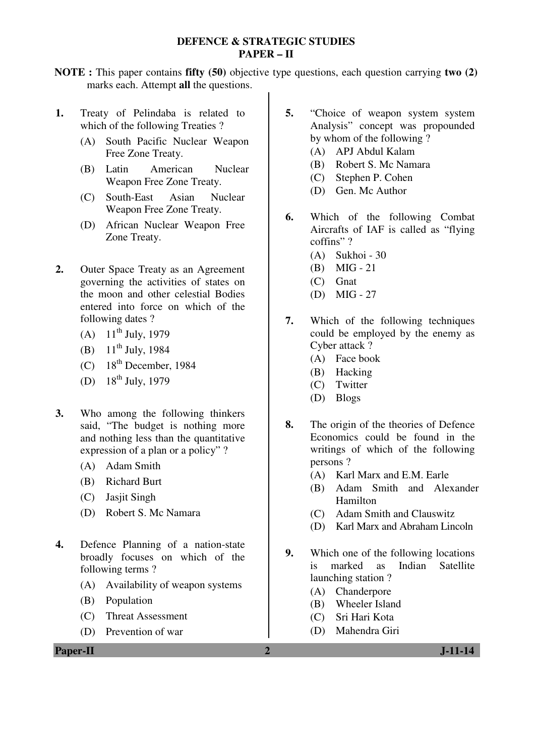#### **DEFENCE & STRATEGIC STUDIES PAPER – II**

**NOTE :** This paper contains **fifty (50)** objective type questions, each question carrying **two (2)** marks each. Attempt **all** the questions.

- **1.** Treaty of Pelindaba is related to which of the following Treaties ?
	- (A) South Pacific Nuclear Weapon Free Zone Treaty.
	- (B) Latin American Nuclear Weapon Free Zone Treaty.
	- (C) South-East Asian Nuclear Weapon Free Zone Treaty.
	- (D) African Nuclear Weapon Free Zone Treaty.
- **2.** Outer Space Treaty as an Agreement governing the activities of states on the moon and other celestial Bodies entered into force on which of the following dates ?
	- (A)  $11^{th}$  July, 1979
	- (B)  $11^{th}$  July, 1984
	- (C)  $18^{th}$  December, 1984
	- (D)  $18^{th}$  July, 1979
- **3.** Who among the following thinkers said, "The budget is nothing more and nothing less than the quantitative expression of a plan or a policy" ?
	- (A) Adam Smith
	- (B) Richard Burt
	- (C) Jasjit Singh
	- (D) Robert S. Mc Namara
- **4.** Defence Planning of a nation-state broadly focuses on which of the following terms ?
	- (A) Availability of weapon systems
	- (B) Population
	- (C) Threat Assessment
	- (D) Prevention of war

**5.** "Choice of weapon system system Analysis" concept was propounded by whom of the following ?

- (A) APJ Abdul Kalam
- (B) Robert S. Mc Namara
- (C) Stephen P. Cohen
- (D) Gen. Mc Author
- **6.** Which of the following Combat Aircrafts of IAF is called as "flying coffins" ?
	- (A) Sukhoi 30
	- (B) MIG 21
	- (C) Gnat
	- (D) MIG 27
- **7.** Which of the following techniques could be employed by the enemy as Cyber attack ?
	- (A) Face book
	- (B) Hacking
	- (C) Twitter
	- (D) Blogs
- **8.** The origin of the theories of Defence Economics could be found in the writings of which of the following persons ?
	- (A) Karl Marx and E.M. Earle
	- (B) Adam Smith and Alexander Hamilton
	- (C) Adam Smith and Clauswitz
	- (D) Karl Marx and Abraham Lincoln
- **9.** Which one of the following locations is marked as Indian Satellite launching station ?
	- (A) Chanderpore
	- (B) Wheeler Island
	- (C) Sri Hari Kota
	- (D) Mahendra Giri

**Paper-II 2 J-11-14**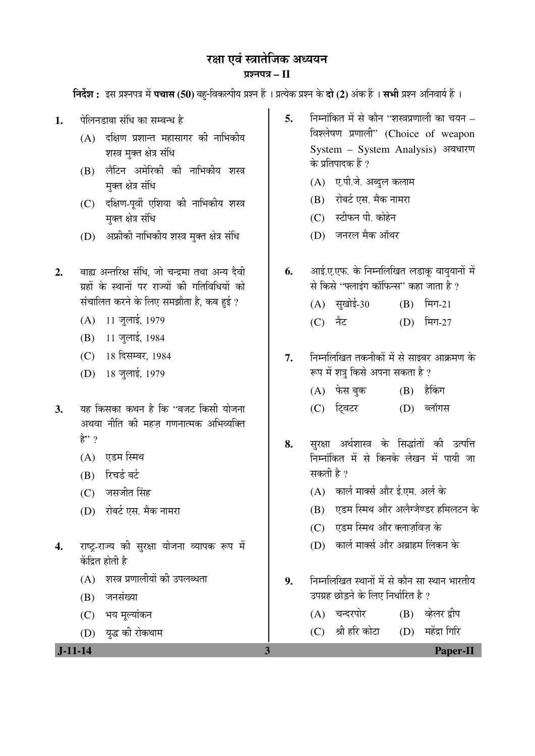# रक्षा एवं स्त्रातेजिक अध्ययन

## ¯ÖÏ¿®Ö¯Ö¡Ö **– II**

**निर्देश :** इस प्रश्नपत्र में **पचास (50)** बह-विकल्पीय प्रश्न हैं । प्रत्येक प्रश्न के **दो (2)** अंक हैं । सभी प्रश्न अनिवार्य हैं ।

- 1. <sup>वेलिनडाबा संधि का सम्बन्ध है</sup>
	- $(A)$  दक्षिण प्रशान्त महासागर की नाभिकीय शस्त्र मुक्त क्षेत्र संधि
	- (B) लैटिन अमेरिकी की नाभिकीय शस्त्र मुक्त क्षेत्र संधि
	- (C) दक्षिण-पूर्वी एशिया की नाभिकीय शस्त्र मक्त क्षेत्र संधि
	- (D) अफ्रीकी नाभिकीय शस्त्र मुक्त क्षेत्र संधि
- 2. बाह्य अन्तरिक्ष संधि जो चन्द्रमा तथा अन्य देवी ग्रहों के स्थानों पर राज्यों की गतिविधियों को संचालित करने के लिए समझौता है, कब हुई ?
	- (A) 11 जुलाई, 1979
	- (B) 11 जुलाई, 1984
	- (C) 18 दिसम्बर, 1984
	- (D) 18 जुलाई, 1979
- 3. यह किसका कथन है कि "बजट किसी योजना अथवा नीति की महज गणनात्मक अभिव्यक्ति  $\hat{\mathbf{z}}$ " ?
	- $(A)$  एडम स्मिथ
	- (B) रिचर्ड बर्ट
	- $(C)$  जसजीत सिंह
	- (D) रोबर्ट एस. मैक नामरा
- 4. राष्ट्-राज्य की सुरक्षा योजना व्यापक रूप में केंद्रित होती है
	- (A) शस्त्र प्रणालीयों की उपलब्धता
	- (B) जनसंख्या
	- (C) भय मल्यांकन
	- (D) युद्ध की रोकथाम

**5.** • निम्नांकित में से कौन ''शस्त्रप्रणाली का चयन – विश्लेषण प्रणाली" (Choice of weapon System – System Analysis) अवधारण के प्रतिपादक हैं ?

- (A) ए.पी.जे. अब्दुल कलाम
- (B) रोबर्ट एस. मैक नामरा
- $(C)$  स्टीफन पी. कोहेन
- (D) जनरल मैक ऑथर
- **6.** आई.ए.एफ. के निम्नलिखित लडाक वाययानों में से किसे "फ्लाइंग कॉफिन्स" कहा जाता है ?
	- (A) सुखोई-30 (B) मिग-21
	- (C) नैट (D) मिग-27
- **7.** निम्नलिखित तकनीकों में से साइबर आक्रमण के रूप में शत्र किसे अपना सकता है ?
	- (A) फेस<sup>बुक</sup> (B) हैकिंग
	- (C) ट्विटर (D) ब्लॉगस
- 8. सुरक्षा अर्थशास्त्र के सिद्धांतों की उत्पत्ति ×®Ö´®ÖÖÓ×ÛúŸÖ ´Öë ÃÖê ×Ûú®ÖÛêú »ÖêÜÖ®Ö ´Öë ¯ÖÖµÖß •ÖÖ सकती है $\overline{?}$ 
	- $(A)$  कार्ल मार्क्स और ई.एम. अर्ल के
	- (B) एडम स्मिथ और अलैग्जैण्डर हमिलटन के
	- (C) एडम स्मिथ और क्लाजविज के
	- $(D)$  कार्ल मार्क्स और अब्राहम लिंकन के
- 9. निम्नलिखित स्थानों में से कौन सा स्थान भारतीय उपग्रह छोडने के लिए निर्धारित है ?
	- (A) चन्दरपोर (B) क्रेलर द्रीप
	- $(C)$  श्री हरि कोटा  $(D)$  महेंद्रा गिरि

 **J-11-14 3 Paper-II**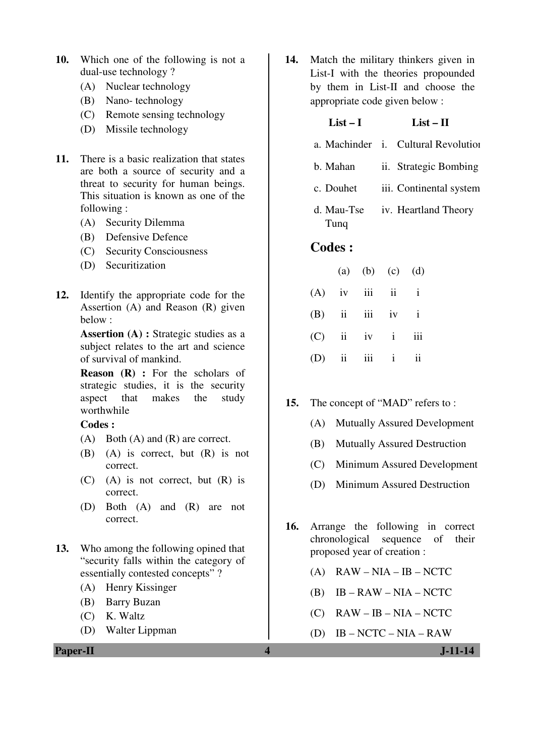- **10.** Which one of the following is not a dual-use technology ?
	- (A) Nuclear technology
	- (B) Nano- technology
	- (C) Remote sensing technology
	- (D) Missile technology
- **11.** There is a basic realization that states are both a source of security and a threat to security for human beings. This situation is known as one of the following :
	- (A) Security Dilemma
	- (B) Defensive Defence
	- (C) Security Consciousness
	- (D) Securitization
- **12.** Identify the appropriate code for the Assertion (A) and Reason (R) given below :

**Assertion (A) :** Strategic studies as a subject relates to the art and science of survival of mankind.

**Reason (R) :** For the scholars of strategic studies, it is the security aspect that makes the study worthwhile

#### **Codes :**

- (A) Both (A) and (R) are correct.
- (B) (A) is correct, but (R) is not correct.
- (C) (A) is not correct, but (R) is correct.
- (D) Both (A) and (R) are not correct.
- **13.** Who among the following opined that "security falls within the category of essentially contested concepts" ?
	- (A) Henry Kissinger
	- (B) Barry Buzan
	- (C) K. Waltz
	- (D) Walter Lippman

**14.** Match the military thinkers given in List-I with the theories propounded by them in List-II and choose the appropriate code given below :

## $List-I$   $List-II$

- a. Machinder i. Cultural Revolution
- b. Mahan ii. Strategic Bombing
- c. Douhet iii. Continental system
- d. Mau-Tse Tunq iv. Heartland Theory

## **Codes :**

|                   | (a) (b) (c) (d) |  |
|-------------------|-----------------|--|
| $(A)$ iv iii ii i |                 |  |
| $(B)$ ii iii iv i |                 |  |
| $(C)$ ii iv i iii |                 |  |
| $(D)$ ii iii ii   |                 |  |

#### **15.** The concept of "MAD" refers to :

- (A) Mutually Assured Development
- (B) Mutually Assured Destruction
- (C) Minimum Assured Development
- (D) Minimum Assured Destruction
- **16.** Arrange the following in correct chronological sequence of their proposed year of creation :
	- $(A)$  RAW NIA IB NCTC
	- (B)  $IB RAW NIA NCTC$
	- $(C)$  RAW IB NIA NCTC
	- (D) IB NCTC NIA RAW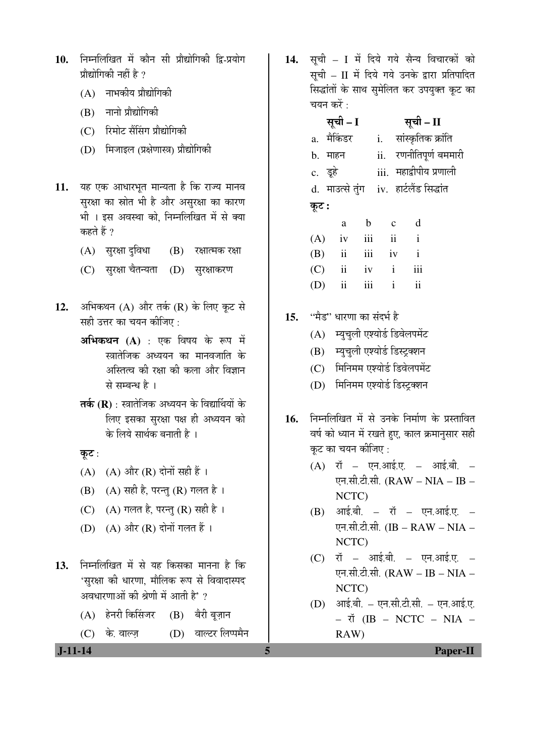- 10. निम्नलिखित में कौन सी प्रौद्योगिकी द्वि-प्रयोग प्रौद्योगिकी नहीं है  $\overline{2}$ 
	- $(A)$  नाभकीय प्रौद्योगिकी
	- (B) नानो प्रौद्योगिकी
	- (C) रिमोट सैंसिंग प्रौद्योगिकी
	- (D) मिजाइल (प्रक्षेणास्त्र) प्रौद्योगिकी
- 11. यह एक आधारभूत मान्यता है कि राज्य मानव सुरक्षा का स्रोत भी है और असुरक्षा का कारण भी । इस अवस्था को, निम्नलिखित में से क्या कहते हैं ?
	- (A) सुरक्षा दुविधा (B) रक्षात्मक रक्षा
	- (C) सुरक्षा चैतन्यता (D) सुरक्षाकरण
- 12. अभिकथन (A) और तर्क (R) के लिए कूट से सही उत्तर का चयन कीजिए :
	- अभिकथन (A) : एक विषय के रूप में स्त्रातेजिक अध्ययन का मानवजाति के अस्तित्व की रक्षा की कला और विज्ञान से सम्बन्ध है ।
	- **तर्क (R)** : स्त्रातेजिक अध्ययन के विद्यार्थियों के लिए इसका सुरक्षा पक्ष ही अध्ययन को के लिये सार्थक बनाती है ।
	- कुट $:$
	- (A) (A) और  $(R)$  दोनों सही हैं।
	- $(B)$   $(A)$  सही है, परन्तु  $(R)$  गलत है।
	- (C)  $(A)$  गलत है, परन्तु (R) सही है।
	- (D)  $(A)$  और  $(R)$  दोनों गलत हैं।
- 13. निम्नलिखित में से यह किसका मानना है कि 'सरक्षा की धारणा, मौलिक रूप से विवादास्पद अवधारणाओं की श्रेणी में आती है' ?
	- (A) हेनरी किसिंजर (B) बैरी बज़ान
	- (C) के. वाल्ज (D) वाल्टर लिप्पमैन

14. सूची – I में दिये गये सैन्य विचारकों को सूची – II में दिये गये उनके द्वारा प्रतिपादित सिद्धांतों के साथ सुमेलित कर उपयुक्त कूट का चयन करें $\cdot$ 

|       | सूची - I                                    |             |              |                     | सूची – II      |                         |
|-------|---------------------------------------------|-------------|--------------|---------------------|----------------|-------------------------|
|       | a. मैकिंडर                                  |             |              |                     |                | i. सांस्कृतिक क्रांति   |
|       | b. माहन                                     |             |              |                     |                | ii. रणनीतिपूर्ण बममारी  |
|       | c. डूहे                                     |             |              |                     |                | iii. महाद्वीपीय प्रणाली |
|       | d.  माउत्से तुंग    iv.  हार्टलैंड सिद्धांत |             |              |                     |                |                         |
| कूट : |                                             |             |              |                     |                |                         |
|       | a                                           | $\mathbf b$ |              | $\mathbf{c}$        | d              |                         |
| (A)   | iv                                          | iii         |              | $\ddot{\mathbf{i}}$ | $\mathbf{i}$   |                         |
| (B)   | $\overline{\mathbf{ii}}$                    | iii         | iv           |                     | $\mathbf{i}$   |                         |
| (C)   | $\overline{\mathbf{ii}}$                    | iv          | $\mathbf{i}$ |                     | iii            |                         |
| (D)   | $\overline{\mathbf{u}}$                     | iii         | $\mathbf{i}$ |                     | $\ddot{\rm n}$ |                         |
|       |                                             |             |              |                     |                |                         |

- 15. "मैड" धारणा का संदर्भ है
	- (A) म्युचुली एश्योर्ड डिवेलपमेंट
	- (B) म्यचली एश्योर्ड डिस्ट्रक्शन
	- (C) मिनिमम एश्योर्ड डिवेलपमेंट
	- (D) मिनिमम एश्योर्ड डिस्ट्क्शन
- 16. निम्नलिखित में से उनके निर्माण के प्रस्तावित वर्ष को ध्यान में रखते हुए, काल क्रमानुसार सही कट का चयन कीजिए :
	- $(A)$  रॉ एन.आई.ए. आई.बी. एन.सी.टी.सी. (RAW – NIA – IB – NCTC)
	- $(B)$  आई.बी. रॉ एन.आई.ए. एन.सी.टी.सी. (IB – RAW – NIA – NCTC)
	- $(C)$  रॉ आई.बी. एन.आई.ए. एन.सी.टी.सी. (RAW – IB – NIA – NCTC)
	- $(D)$  आई.बी. एन.सी.टी.सी. एन.आई.ए.  $\check{\mathbf{u}}$  (IB – NCTC – NIA – RAW)

 **J-11-14 5 Paper-II**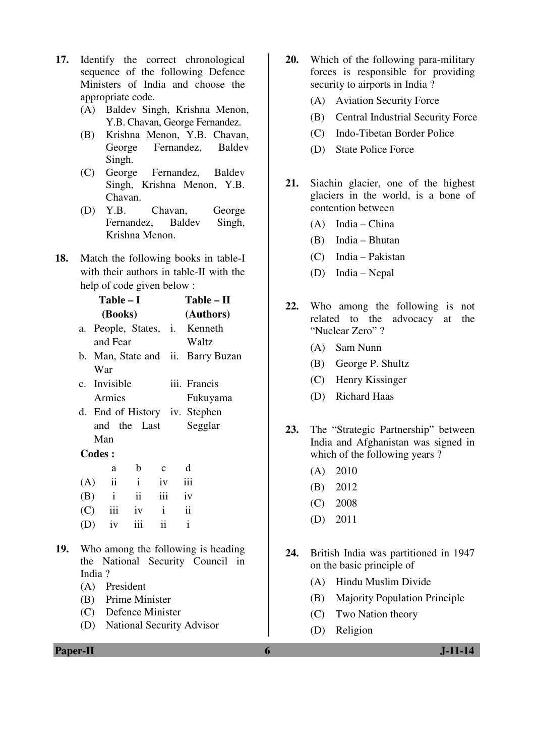- **17.** Identify the correct chronological sequence of the following Defence Ministers of India and choose the appropriate code.
	- (A) Baldev Singh, Krishna Menon, Y.B. Chavan, George Fernandez.
	- (B) Krishna Menon, Y.B. Chavan, George Fernandez, Baldev Singh.
	- (C) George Fernandez, Baldev Singh, Krishna Menon, Y.B. Chavan.
	- (D) Y.B. Chavan, George Fernandez, Baldev Singh, Krishna Menon.
- **18.** Match the following books in table-I with their authors in table-II with the help of code given below :

|     |               | $Table - I$        |     |                                  |                          | Table – II                         |  |
|-----|---------------|--------------------|-----|----------------------------------|--------------------------|------------------------------------|--|
|     |               | (Books)            |     |                                  |                          | (Authors)                          |  |
|     | a.            |                    |     | People, States, i. Kenneth       |                          |                                    |  |
|     |               | and Fear           |     |                                  | Waltz                    |                                    |  |
|     |               |                    |     |                                  |                          | b. Man, State and ii. Barry Buzan  |  |
|     |               | War                |     |                                  |                          |                                    |  |
|     |               | c. Invisible       |     |                                  | iii. Francis             |                                    |  |
|     |               | Armies             |     |                                  |                          | Fukuyama                           |  |
|     |               |                    |     | d. End of History iv. Stephen    |                          |                                    |  |
|     |               |                    |     | and the Last Segglar             |                          |                                    |  |
|     |               | Man                |     |                                  |                          |                                    |  |
|     | <b>Codes:</b> |                    |     |                                  |                          |                                    |  |
|     |               |                    | a b | $\mathbf{c}$                     | d                        |                                    |  |
|     |               |                    |     | $(A)$ ii i iv iii                |                          |                                    |  |
|     |               |                    |     | $(B)$ i ii iii iv                |                          |                                    |  |
|     |               | $(C)$ iii iv i     |     |                                  | $\overline{\mathbf{ii}}$ |                                    |  |
|     |               | $(D)$ iv           |     | iii ii                           | $\mathbf{i}$             |                                    |  |
|     |               |                    |     |                                  |                          |                                    |  |
| 19. |               |                    |     |                                  |                          | Who among the following is heading |  |
|     |               |                    |     |                                  |                          | the National Security Council in   |  |
|     | India?        |                    |     |                                  |                          |                                    |  |
|     |               | (A) President      |     |                                  |                          |                                    |  |
|     |               | (B) Prime Minister |     |                                  |                          |                                    |  |
|     |               |                    |     | $(\mathcal{C})$ Defense Minister |                          |                                    |  |

- (C) Defence Minister
- (D) National Security Advisor
- **20.** Which of the following para-military forces is responsible for providing security to airports in India ?
	- (A) Aviation Security Force
	- (B) Central Industrial Security Force
	- (C) Indo-Tibetan Border Police
	- (D) State Police Force
- **21.** Siachin glacier, one of the highest glaciers in the world, is a bone of contention between
	- (A) India China
	- (B) India Bhutan
	- (C) India Pakistan
	- (D) India Nepal
- **22.** Who among the following is not related to the advocacy at the "Nuclear Zero" ?
	- (A) Sam Nunn
	- (B) George P. Shultz
	- (C) Henry Kissinger
	- (D) Richard Haas
- **23.** The "Strategic Partnership" between India and Afghanistan was signed in which of the following years ?
	- (A) 2010
	- (B) 2012
	- (C) 2008
	- (D) 2011
- **24.** British India was partitioned in 1947 on the basic principle of
	- (A) Hindu Muslim Divide
	- (B) Majority Population Principle
	- (C) Two Nation theory
	- (D) Religion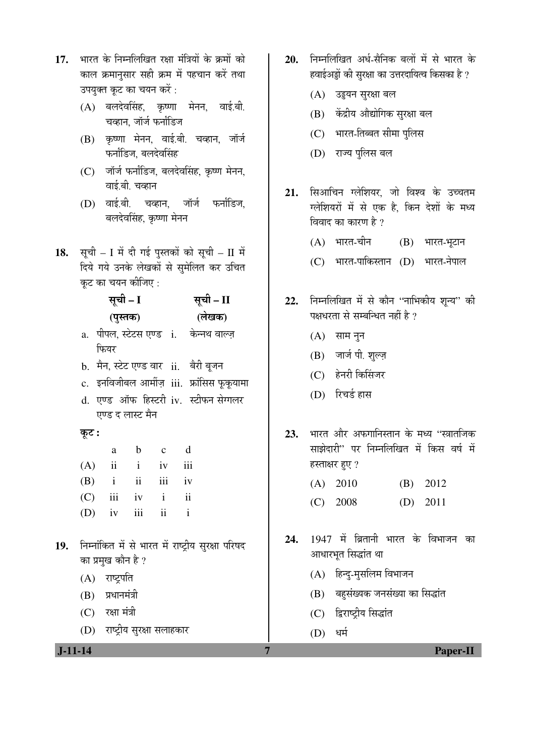- 17. भारत के निम्नलिखित रक्षा मंत्रियों के क्रमों को काल क्रमानसार सही क्रम में पहचान करें तथा उपयुक्त कूट का चयन करें :
	- $(A)$  बलदेवसिंह, कृष्णा मेनन, वाई.बी. चव्हान. जॉर्ज फर्नांडिज
	- (B) कृष्णा मेनन, वाई.बी. चव्हान, जॉर्ज फर्नांडिज. बलदेवसिंह
	- (C) जॉर्ज फर्नांडिज, बलदेवसिंह, कृष्ण मेनन, वाई.बी. चव्हान
	- $(D)$  वाई.बी. चव्हान. जॉर्ज फर्नांडिज. बलदेवसिंह, कृष्णा मेनन
- 18. सूची I में दी गई पुस्तकों को सूची II में दिये गये उनके लेखकों से सुमेलित कर उचित कट का चयन कीजिए :

|             | सूची – I                                   | सूची – II |
|-------------|--------------------------------------------|-----------|
|             | (पुस्तक)                                   | (लेखक)    |
|             | a. पीपल, स्टेटस एण्ड i. केन्नथ वाल्ज़      |           |
|             | फियर                                       |           |
|             | b.  मैन, स्टेट एण्ड वार   ii.    बैरी बूजन |           |
|             | c. इनविजीबल आर्मीज़ iii. फ्रांसिस फूकूयामा |           |
| $d_{\cdot}$ | एण्ड ऑफ हिस्टरी iv. स्टीफन सेग्गलर         |           |
|             | एण्ड द लास्ट मैन                           |           |



| a | b c d             |  |
|---|-------------------|--|
|   | $(A)$ ii i iv iii |  |
|   | $(B)$ i ii iii iv |  |
|   | $(C)$ iii iv i ii |  |
|   | $(D)$ iv iii ii i |  |

- 19. निम्नांकित में से भारत में राष्ट्रीय सुरक्षा परिषद का प्रमुख कौन है ?
	- $(A)$  राष्ट्रपति
	- $(B)$  प्रधानमंत्री
	- $(C)$  रक्षा मंत्री
	- (D) राष्ट्रीय सुरक्षा सलाहकार

- 20. ਜਿਸਗਿਰਿਗ अर्ध-सैनिक बलों में से भारत के हवाईअड्डों की सरक्षा का उत्तरदायित्व किसका है ?
	- (A) उडुयन सुरक्षा बल
	- (B) केंद्रीय औद्योगिक सुरक्षा बल
	- (C) भारत-तिब्बत सीमा पुलिस
	- (D) राज्य पुलिस बल
- 21. सिआचिन ग्लेशियर, जो विश्व के उच्चतम ग्लेशियरों में से एक है, किन देशों के मध्य विवाद का कारण है ?
	- $(A)$  भारत-चीन  $(B)$  भारत-भूटान
	- (C) भारत-पाकिस्तान (D) भारत-नेपाल
- 22. निम्नलिखित में से कौन "नाभिकीय शून्य" की पक्षधरता से सम्बन्धित नहीं है ?
	- $(A)$  साम नुन
	- $(B)$  जार्ज पी. शुल्ज़
	- (C) हेनरी किसिंजर
	- (D) रिचर्ड हास
- 23. भारत और अफगानिस्तान के मध्य "स्त्रातजिक साझेदारी" पर निम्नलिखित में किस वर्ष में हस्ताक्षर हुए ?
	- (A) 2010 (B) 2012 (C) 2008 (D) 2011
- 24. 1947 में ब्रितानी भारत के विभाजन का आधारभूत सिद्धांत था
	- $(A)$  हिन्दु-मृसलिम विभाजन
	- (B) बहुसंख्यक जनसंख्या का सिद्धांत
	- (C) द्विराष्ट्रीय सिद्धांत
	- (D) धर्म

 **J-11-14 7 Paper-II**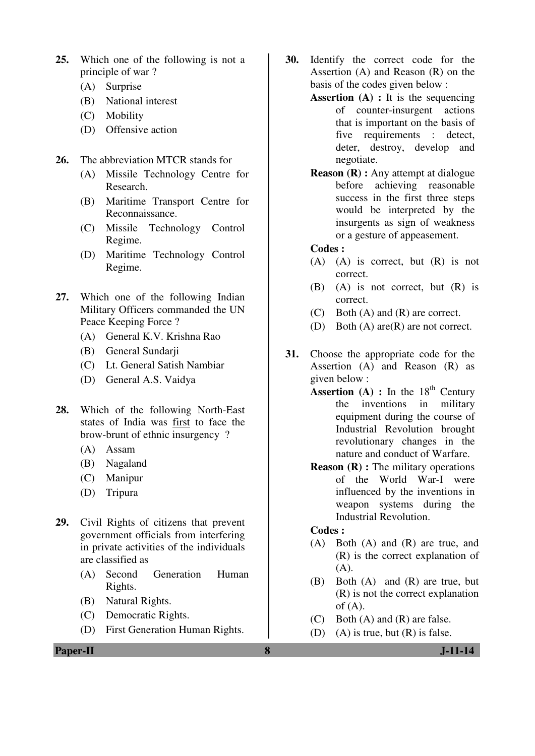- **25.** Which one of the following is not a principle of war ?
	- (A) Surprise
	- (B) National interest
	- (C) Mobility
	- (D) Offensive action
- **26.** The abbreviation MTCR stands for
	- (A) Missile Technology Centre for Research.
	- (B) Maritime Transport Centre for Reconnaissance.
	- (C) Missile Technology Control Regime.
	- (D) Maritime Technology Control Regime.
- **27.** Which one of the following Indian Military Officers commanded the UN Peace Keeping Force ?
	- (A) General K.V. Krishna Rao
	- (B) General Sundarji
	- (C) Lt. General Satish Nambiar
	- (D) General A.S. Vaidya
- **28.** Which of the following North-East states of India was first to face the brow-brunt of ethnic insurgency ?
	- (A) Assam
	- (B) Nagaland
	- (C) Manipur
	- (D) Tripura
- **29.** Civil Rights of citizens that prevent government officials from interfering in private activities of the individuals are classified as
	- (A) Second Generation Human Rights.
	- (B) Natural Rights.
	- (C) Democratic Rights.
	- (D) First Generation Human Rights.

**30.** Identify the correct code for the Assertion (A) and Reason (R) on the basis of the codes given below :

- **Assertion (A) :** It is the sequencing of counter-insurgent actions that is important on the basis of five requirements : detect, deter, destroy, develop and negotiate.
- **Reason (R) :** Any attempt at dialogue before achieving reasonable success in the first three steps would be interpreted by the insurgents as sign of weakness or a gesture of appeasement.

#### **Codes :**

- (A) (A) is correct, but (R) is not correct.
- (B) (A) is not correct, but (R) is correct.
- (C) Both (A) and (R) are correct.
- (D) Both (A) are(R) are not correct.
- **31.** Choose the appropriate code for the Assertion (A) and Reason (R) as given below :
	- **Assertion** (A) : In the  $18<sup>th</sup>$  Century the inventions in military equipment during the course of Industrial Revolution brought revolutionary changes in the nature and conduct of Warfare.
	- **Reason (R) :** The military operations of the World War-I were influenced by the inventions in weapon systems during the Industrial Revolution.

### **Codes :**

- (A) Both (A) and (R) are true, and (R) is the correct explanation of  $(A).$
- (B) Both (A) and (R) are true, but (R) is not the correct explanation of  $(A)$ .
- (C) Both (A) and (R) are false.
- (D) (A) is true, but (R) is false.

**Paper-II 8 J-11-14**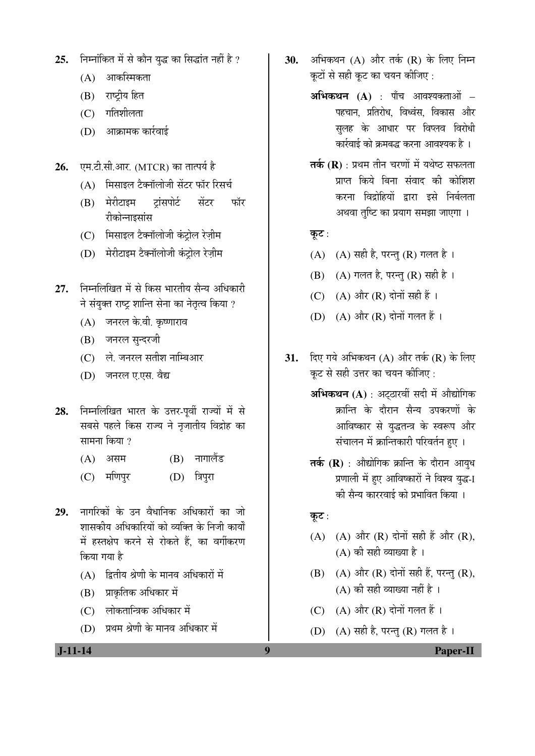- 25. Firmi कित में से कौन युद्ध का सिद्धांत नहीं है ?
	- $(A)$  आकस्मिकता
	- (B) राष्ट्रीय हित
	- $(C)$  गतिशीलता
	- $(D)$  आक्रामक कार्रवाई
- **26.** पम.टी.सी.आर. (MTCR) का तात्पर्य है
	- $(A)$  मिसाइल टैक्नॉलोजी सेंटर फॉर रिसर्च
	- (B) मेरीटाइम ट्रांसपोर्ट सेंटर फॉर रीकोन्नाइसांस
	- (C) भिसाइल टैक्नॉलोजी कंट्रोल रेज़ीम
	- (D) मेरीटाइम टैक्नॉलोजी कंट्रोल रेज़ीम
- 27. **निम्नलिखित में से किस भारतीय सैन्य** अधिकारी <u>ने संयुक्त राष्ट्र शान्ति सेना का नेतृत्व किया ?</u>
	- (A) जनरल के.वी. कृष्णाराव
	- (B) जनरल सुन्दरजी
	- (C) ले. जनरल सतीश नाम्बिआर
	- (D) जनरल ए.एस. वैद्य
- 28. निम्नलिखित भारत के उत्तर-पूर्वी राज्यों में से सबसे पहले किस राज्य ने नृजातीय विद्रोह का सामना किया  $\gamma$ 
	- (A) असम (B) नागालैंड
	- (C) मणिपुर (D) त्रिपुरा
- 29. नागरिकों के उन वैधानिक अधिकारों का जो शासकीय अधिकारियों को व्यक्ति के निजी कार्यों में हस्तक्षेप करने से रोकते हैं. का वर्गीकरण किया गया है
	- $(A)$  द्वितीय श्रेणी के मानव अधिकारों में
	- $(B)$  प्राकृतिक अधिकार में
	- (C) लोकतान्त्रिक अधिकार में
	- $(D)$  प्रथम श्रेणी के मानव अधिकार में
- **30.** अभिकथन (A) और तर्क (R) के लिए निम्न कटों से सही कुट का चयन कीजिए :
	- **अभिकथन (A)** : पाँच आवश्यकताओं पहचान, प्रतिरोध, विध्वंस, विकास और सुलह के आधार पर विप्लव विरोध<u>ी</u> <u>कार्रवाई को क्रमबद्ध करना आवश्यक है</u> ।
	- **तर्क (R)** : प्रथम तीन चरणों में यथेष्ठ सफलता प्राप्त किये बिना संवाद की कोशिश करना विद्रोहियों द्वारा इसे निर्बलता अथवा तुष्टि का प्रयाग समझा जाएगा ।
	- कुट $:$
	- (A)  $(A)$  सही है, परन्तु (R) गलत है।
	- $(B)$   $(A)$  गलत है, परन्तु  $(R)$  सही है ।
	- (C)  $(A)$  और  $(R)$  दोनों सही हैं।
	- $(D)$   $(A)$  और  $(R)$  दोनों गलत हैं।
- **31.** दिए गये अभिकथन (A) और तर्क (R) के लिए कट से सही उत्तर का चयन कीजिए :
	- **अभिकथन (A)** : अटठारवीं सदी में औद्योगिक क्रान्ति के दौरान सैन्य उपकरणों के आविष्कार से युद्धतन्त्र के स्वरूप और संचालन में क्रान्तिकारी परिवर्तन हुए ।
	- **तर्क (R)** : औद्योगिक क्रान्ति के दौरान आयुध प्रणाली में हए आविष्कारों ने विश्व युद्ध-I की सैन्य काररवाई को प्रभावित किया ।
	- कुट $:$
	- $(A)$   $(A)$  और  $(R)$  दोनों सही हैं और  $(R)$ ,  $(A)$  की सही व्याख्या है।
	- $(B)$   $(A)$  और  $(R)$  दोनों सही हैं, परन्तु  $(R)$ ,  $(A)$  की सही व्याख्या नहीं है ।
	- $(C)$   $(A)$  और  $(R)$  दोनों गलत हैं।
	- (D)  $(A)$  सही है, परन्तु (R) गलत है।

 **J-11-14 9 Paper-II**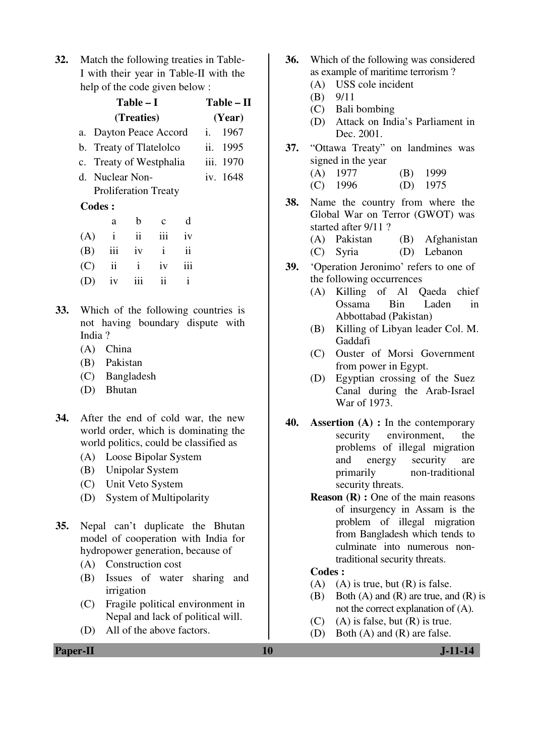**32.** Match the following treaties in Table-I with their year in Table-II with the help of the code given below :

|     |        |                | Table – I       |                             |                     |     | Table – II |  |
|-----|--------|----------------|-----------------|-----------------------------|---------------------|-----|------------|--|
|     |        | (Year)         |                 |                             |                     |     |            |  |
| a.  |        |                |                 | Dayton Peace Accord         |                     | i.  | 1967       |  |
|     |        |                |                 | b. Treaty of Tlatelolco     |                     | ii. | 1995       |  |
|     |        |                |                 | c. Treaty of Westphalia     |                     |     | iii. 1970  |  |
|     |        |                | d. Nuclear Non- |                             |                     |     | iv. 1648   |  |
|     |        |                |                 | <b>Proliferation Treaty</b> |                     |     |            |  |
|     | Codes: |                |                 |                             |                     |     |            |  |
|     |        | a              | b               | $\mathbf c$                 | d                   |     |            |  |
| (A) |        | $\mathbf{i}$   | $\ddot{\rm n}$  | iii                         | iv                  |     |            |  |
| (B) |        | iii            | iv              | $\mathbf{i}$                | $\ddot{\mathbf{i}}$ |     |            |  |
| (C) |        | $\ddot{\rm n}$ | i               | iv                          | iii                 |     |            |  |
|     |        | iv             | 111             | ij                          | i                   |     |            |  |
|     |        |                |                 |                             |                     |     |            |  |

- **33.** Which of the following countries is not having boundary dispute with India ?
	- (A) China
	- (B) Pakistan
	- (C) Bangladesh
	- (D) Bhutan
- **34.** After the end of cold war, the new world order, which is dominating the world politics, could be classified as
	- (A) Loose Bipolar System
	- (B) Unipolar System
	- (C) Unit Veto System
	- (D) System of Multipolarity
- **35.** Nepal can't duplicate the Bhutan model of cooperation with India for hydropower generation, because of
	- (A) Construction cost
	- (B) Issues of water sharing and irrigation
	- (C) Fragile political environment in Nepal and lack of political will.
	- (D) All of the above factors.
- **36.** Which of the following was considered as example of maritime terrorism ?
	- (A) USS cole incident
	- (B) 9/11
	- (C) Bali bombing
	- (D) Attack on India's Parliament in Dec. 2001.
- **37.** "Ottawa Treaty" on landmines was signed in the year
	- (A) 1977 (B) 1999 (C) 1996 (D) 1975
- **38.** Name the country from where the Global War on Terror (GWOT) was started after 9/11 ?
	- (A) Pakistan (B) Afghanistan (C) Syria (D) Lebanon
- **39.** 'Operation Jeronimo' refers to one of the following occurrences
	- (A) Killing of Al Qaeda chief Ossama Bin Laden in Abbottabad (Pakistan)
	- (B) Killing of Libyan leader Col. M. Gaddafi
	- (C) Ouster of Morsi Government from power in Egypt.
	- (D) Egyptian crossing of the Suez Canal during the Arab-Israel War of 1973.
- **40. Assertion (A) :** In the contemporary security environment, the problems of illegal migration and energy security are primarily non-traditional security threats.
	- **Reason (R) :** One of the main reasons of insurgency in Assam is the problem of illegal migration from Bangladesh which tends to culminate into numerous nontraditional security threats.

#### **Codes :**

- (A) (A) is true, but  $(R)$  is false.
- (B) Both (A) and (R) are true, and (R) is not the correct explanation of (A).
- $(C)$  (A) is false, but  $(R)$  is true.
- (D) Both (A) and (R) are false.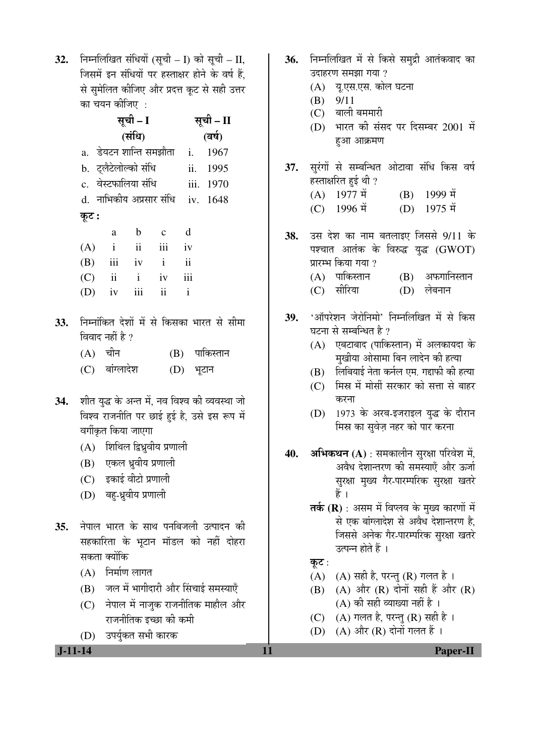**32.** निम्नलिखित संधियों (सूची – I) को सूची – II, जिसमें इन संधियों पर हस्ताक्षर होने के वर्ष हैं. से सुमेलित कीजिए और प्रदत्त कूट से सही उत्तर का चयन कीजिए :

|     |         |                 | सूची – I              |                                  |             | सूची – II                                      |  |
|-----|---------|-----------------|-----------------------|----------------------------------|-------------|------------------------------------------------|--|
|     |         |                 | (संधि)                |                                  |             | (वर्ष)                                         |  |
|     |         |                 |                       | a.  डेयटन शान्ति समझौता   i.     |             | 1967                                           |  |
|     |         |                 | b.  ट्लैटेलोल्को संधि |                                  |             | ii. 1995                                       |  |
|     |         |                 | c. वेस्टफालिया संधि   |                                  |             | iii. 1970                                      |  |
|     |         |                 |                       | d. नाभिकीय अप्रसार संधि iv. 1648 |             |                                                |  |
|     | कूट :   |                 |                       |                                  |             |                                                |  |
|     |         | a               | $b$ c                 |                                  | $\mathbf d$ |                                                |  |
|     |         |                 |                       | $(A)$ i ii iii iv                |             |                                                |  |
|     |         |                 |                       | (B) iii iv i ii                  |             |                                                |  |
|     |         |                 |                       | $(C)$ ii i iv iii                |             |                                                |  |
|     |         |                 |                       | $(D)$ iv iii ii i                |             |                                                |  |
| 33. |         |                 |                       |                                  |             | निम्नांकित देशों में से किसका भारत से सीमा     |  |
|     |         | विवाद नहीं है ? |                       |                                  |             |                                                |  |
|     | (A) चीन |                 |                       |                                  |             | (B) पाकिस्तान                                  |  |
|     |         | (C) बांग्लादेश  |                       |                                  | (D) भूटान   |                                                |  |
| 34. |         |                 |                       |                                  |             | शीत युद्ध के अन्त में, नव विश्व की व्यवस्था जो |  |
|     |         |                 |                       |                                  |             | विश्व राजनीति पर छाई हुई है, उसे इस रूप में    |  |
|     |         |                 | वर्गीकृत किया जाएगा   |                                  |             |                                                |  |
|     |         |                 |                       | (A) शिथिल द्विध्रुवीय प्रणाली    |             |                                                |  |

- (B) एकल ध्रुवीय प्रणाली
- $(C)$  इकाई वीटो प्रणाली
- (D) बहु-ध्रुवीय प्रणाली
- 35. नेपाल भारत के साथ पनबिजली उत्पादन की सहकारिता के भुटान मॉडल को नहीं दोहरा सकता क्योंकि
	- $(A)$  निर्माण लागत
	- (B) जल में भागीदारी और सिंचाई समस्याएँ
	- $(C)$  नेपाल में नाजुक राजनीतिक माहौल और राजनीतिक इच्छा की कमी
	- (D) उपर्युकत सभी कारक

- 36. निम्नलिखित में से किसे समुद्री आतंकवाद का उदाहरण समझा गया ? (A) य.एस.एस. कोल घटना (B) 9/11  $(C)$  बाली बममारी (D) भारत की संसद पर दिसम्बर 2001 में हुआ आक्रमण 37. सुरंगों से सम्बन्धित ओटावा संधि किस वर्ष हस्ताक्षरित हुई थी ? (A)  $1977 \, \vec{\uparrow}$  (B)  $1999 \, \vec{\uparrow}$ <br>(C)  $1996 \, \vec{\uparrow}$  (D)  $1975 \, \vec{\uparrow}$  $(C)$  1996  $\ddot{q}$ **38.** उस देश का नाम बतलाइए जिससे 9/11 के पश्चात आतंक के विरुद्ध युद्ध (GWOT) प्रारम्भ किया गया ?  $(A)$  पाकिस्तान  $(B)$  अफगानिस्तान (C) सीरिया (D) लेबनान 39. 'ऑपरेशन जेरोनिमो' निम्नलिखित में से किस घटना से सम्बन्धित है ?  $(A)$  एबटाबाद (पाकिस्तान) में अलकायदा के मुखीया ओसामा बिन लादेन की हत्या  $(B)$  लिबियाई नेता कर्नल एम. गद्दाफी की हत्या (C) मिस्र में मोर्सी सरकार को सत्ता से बाहर करना (D) 1973 के अरब-इजराइल युद्ध के दौरान
- मिस्र का सुवेज़ नहर को पार करना 40. **अभिकथन** (A) : समकालीन सुरक्षा परिवेश में,
	- अवैध देशान्तरण की समस्याएँ और ऊर्जा सुरक्षा मुख्य गैर-पारम्परिक सुरक्षा खतरे हैं ।
		- **तर्क (R)** : असम में विप्लव के मुख्य कारणों में से एक बांग्लादेश से अवैध देशान्तरण है, जिससे अनेक गैर-पारम्परिक सुरक्षा खतरे उत्पन्न होते हैं ।
		- कूट :
		- (A)  $(A)$  सही है, परन्तु (R) गलत है।
		- $(B)$   $(A)$  और  $(R)$  दोनों सही हैं और  $(R)$  $(A)$  की सही व्याख्या नहीं है ।
		- (C)  $(A)$  गलत है, परन्तु (R) सही है ।
		- (D)  $(A)$  और  $(R)$  दोनों गलत हैं।

 **J-11-14 11 Paper-II**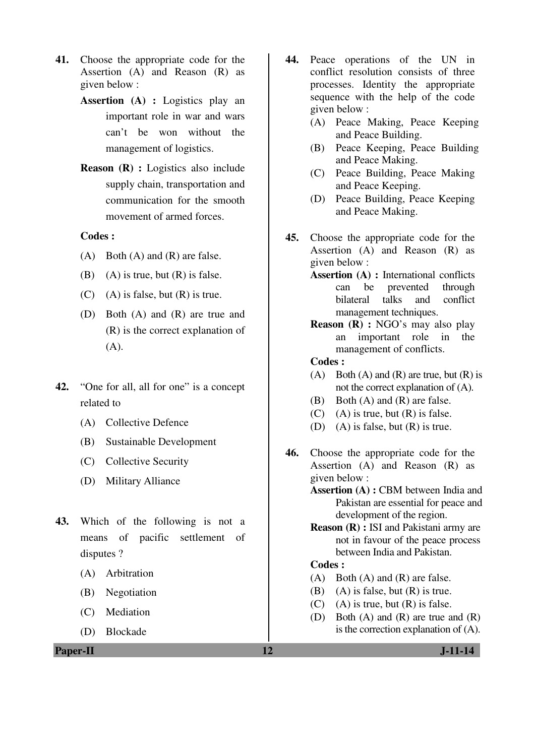- **41.** Choose the appropriate code for the Assertion (A) and Reason (R) as given below :
	- **Assertion (A) :** Logistics play an important role in war and wars can't be won without the management of logistics.
	- **Reason (R) :** Logistics also include supply chain, transportation and communication for the smooth movement of armed forces.

#### **Codes :**

- (A) Both (A) and (R) are false.
- (B) (A) is true, but  $(R)$  is false.
- $(C)$  (A) is false, but  $(R)$  is true.
- (D) Both (A) and (R) are true and (R) is the correct explanation of (A).
- **42.** "One for all, all for one" is a concept related to
	- (A) Collective Defence
	- (B) Sustainable Development
	- (C) Collective Security
	- (D) Military Alliance
- **43.** Which of the following is not a means of pacific settlement of disputes ?
	- (A) Arbitration
	- (B) Negotiation
	- (C) Mediation
	- (D) Blockade
- **44.** Peace operations of the UN in conflict resolution consists of three processes. Identity the appropriate sequence with the help of the code given below :
	- (A) Peace Making, Peace Keeping and Peace Building.
	- (B) Peace Keeping, Peace Building and Peace Making.
	- (C) Peace Building, Peace Making and Peace Keeping.
	- (D) Peace Building, Peace Keeping and Peace Making.
- **45.** Choose the appropriate code for the Assertion (A) and Reason (R) as given below :
	- **Assertion (A) :** International conflicts can be prevented through bilateral talks and conflict management techniques.
	- **Reason (R) :** NGO's may also play an important role in the management of conflicts.
	- **Codes :**
	- (A) Both (A) and (R) are true, but  $(R)$  is not the correct explanation of (A).
	- (B) Both (A) and (R) are false.
	- $(C)$  (A) is true, but  $(R)$  is false.
	- (D) (A) is false, but (R) is true.
- **46.** Choose the appropriate code for the Assertion (A) and Reason (R) as given below :

**Assertion (A) :** CBM between India and Pakistan are essential for peace and development of the region.

**Reason (R) : ISI and Pakistani army are** not in favour of the peace process between India and Pakistan.

## **Codes :**

- (A) Both (A) and (R) are false.
- (B) (A) is false, but  $(R)$  is true.
- (C) (A) is true, but  $(R)$  is false.
- (D) Both (A) and (R) are true and (R) is the correction explanation of (A).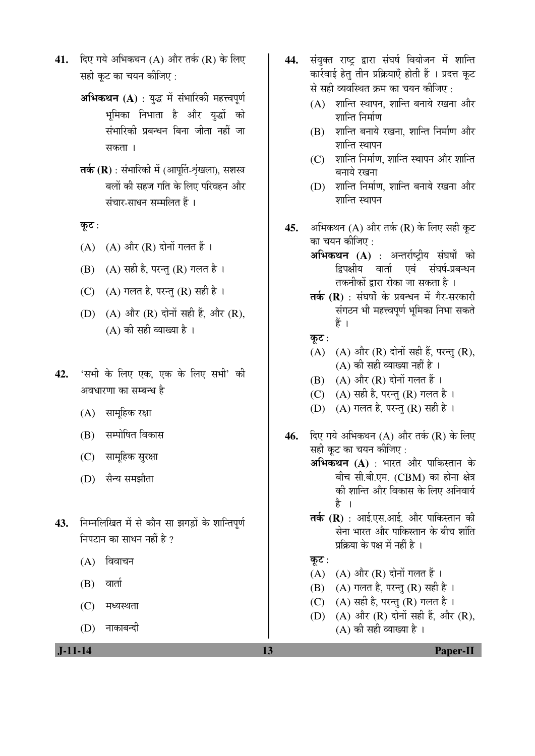- **41.** दिए गये अभिकथन (A) और तर्क (R) के लिए सही कट का चयन कीजिए :
	- **अभिकथन (A)** : युद्ध में संभारिकी महत्त्वपूर्ण भूमिका निभाता है और युद्धों को संभारिकी प्रबन्धन बिना जीता नहीं जा सकता ।
	- **तर्क (R)** : संभारिकी में (आपूर्ति-श्रृंखला), सशस्त्र बलों की सहज गति के लिए परिवहन और संचार-साधन सम्मलित हैं ।
	- कूट :
	- $(A)$   $(A)$  और  $(R)$  दोनों गलत हैं।
	- $(B)$   $(A)$  सही है, परन्तु  $(R)$  गलत है।
	- (C)  $(A)$  गलत है, परन्तु (R) सही है।
	- (D)  $(A)$  और  $(R)$  दोनों सही हैं, और  $(R)$ ,  $(A)$  की सही व्याख्या है।
- 42. 'सभी के लिए एक. एक के लिए सभी' की अवधारणा का सम्बन्ध है
	- (A) सामूहिक रक्षा
	- (B) सम्पोषित विकास
	- (C) सामहिक सुरक्षा
	- (D) सैन्य समझौता
- 43. निम्नलिखित में से कौन सा झगड़ों के शान्तिपूर्ण निपटान का साधन नहीं है  $\overline{v}$ 
	- $(A)$  विवाचन
	- $(B)$  वार्ता
	- $(C)$  मध्यस्थता
	- (D) नाकाबन्दी
- 44. संयुक्त राष्ट्र द्वारा संघर्ष वियोजन में शान्ति कार्रवाई हेत् तीन प्रक्रियाएँ होती हैं । प्रदत्त कुट से सही व्यवस्थित क्रम का चयन कीजिए :
	- $(A)$  शान्ति स्थापन, शान्ति बनाये रखना और शान्ति निर्माण
	- $(B)$  शान्ति बनाये रखना, शान्ति निर्माण और शान्ति स्थापन
	- (C) शान्ति निर्माण, शान्ति स्थापन और शान्ति बनाये रखना
	- (D) शान्ति निर्माण, शान्ति बनाये रखना और शान्ति स्थापन
- 45. अभिकथन (A) और तर्क (R) के लिए सही कूट का चयन कीजिए  $\cdot$ 
	- **अभिकथन (A)** : अन्तर्राष्ट्रीय संघर्षों को द्विपक्षीय वार्ता एवं संघर्ष-प्रबन्धन तकनीकों द्वारा रोका जा सकता है ।
	- तर्क (R) : संघर्षों के प्रबन्धन में गैर-सरकारी संगठन भी महत्त्वपूर्ण भूमिका निभा सकते हैं ।
	- कूट:
	- $(A)$   $(A)$  और  $(R)$  दोनों सही हैं, परन्तु  $(R)$ ,  $(A)$  की सही व्याख्या नहीं है ।
	- $(B)$   $(A)$  और  $(R)$  दोनों गलत हैं।
	- (C)  $(A)$  सही है, परन्तु (R) गलत है ।
	- (D)  $(A)$  गलत है, परन्तु (R) सही है ।
- 46. दिए गये अभिकथन (A) और तर्क (R) के लिए सही कुट का चयन कीजिए : **अभिकथन (A)** : भारत और पाकिस्तान के बीच सी.बी.एम. (CBM) का होना क्षेत्र को शान्ति और विकास के लिए अनिवार्य है । **तर्क (R)** : आई.एस.आई. और पाकिस्तान की सेना भारत और पाकिस्तान के बीच शांति प्रक्रिया के पक्ष में नहीं है । कूट:  $(A)$   $(A)$  और  $(R)$  दोनों गलत हैं।
	- $(B)$   $(A)$  गलत है, परन्तु  $(R)$  सही है।
	-
	- (C)  $(A)$  सही है, परन्तु (R) गलत है।
	- (D)  $(A)$  और  $(R)$  दोनों सही हैं, और  $(R)$ ,  $(A)$  की सही व्याख्या है ।

 **J-11-14 13 Paper-II**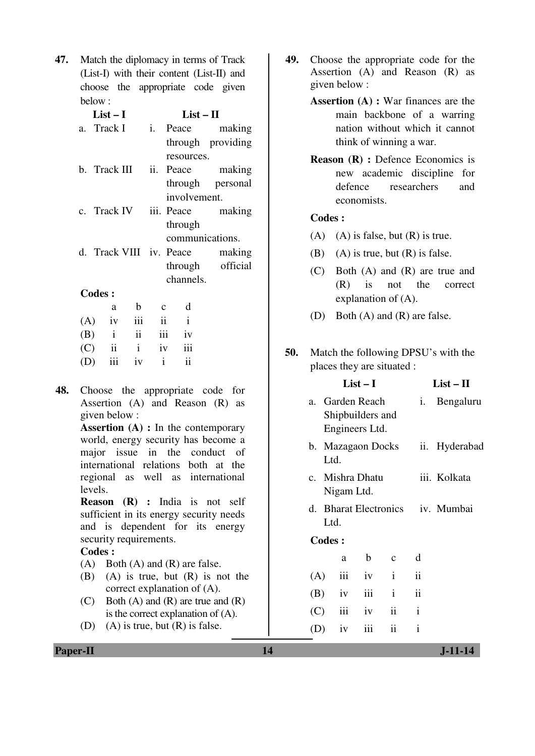**47.** Match the diplomacy in terms of Track (List-I) with their content (List-II) and choose the appropriate code given below :

|               | $List-I$ |             |  | $List-II$    |                                |
|---------------|----------|-------------|--|--------------|--------------------------------|
| a. Track I    |          |             |  |              | i. Peace making                |
|               |          |             |  |              | through providing              |
|               |          |             |  | resources.   |                                |
| b. Track III  |          |             |  |              | ii. Peace making               |
|               |          |             |  |              | through personal               |
|               |          |             |  | involvement. |                                |
|               |          |             |  |              | c. Track IV iii. Peace making  |
|               |          |             |  | through      |                                |
|               |          |             |  |              | communications.                |
|               |          |             |  |              | d. Track VIII iv. Peace making |
|               |          |             |  |              | through official               |
|               |          |             |  | channels.    |                                |
| <b>Codes:</b> |          |             |  |              |                                |
|               | a        | $\mathbf b$ |  | d            |                                |
| (A)           |          | iv iii ii   |  |              |                                |
|               |          |             |  |              |                                |

|  | $(A)$ iv iii ii i |               |
|--|-------------------|---------------|
|  | $(B)$ i ii iii iv |               |
|  | $(C)$ ii i iv iii |               |
|  | $(D)$ iii iv i    | $\mathbf{ii}$ |

**48.** Choose the appropriate code for Assertion (A) and Reason (R) as given below :

> **Assertion (A) :** In the contemporary world, energy security has become a major issue in the conduct of international relations both at the regional as well as international levels.

> **Reason (R) :** India is not self sufficient in its energy security needs and is dependent for its energy security requirements.

#### **Codes :**

(A) Both (A) and (R) are false.

- (B) (A) is true, but (R) is not the correct explanation of (A).
- (C) Both  $(A)$  and  $(R)$  are true and  $(R)$ is the correct explanation of (A).
- (D) (A) is true, but  $(R)$  is false.
- **49.** Choose the appropriate code for the Assertion (A) and Reason (R) as given below :
	- **Assertion (A) :** War finances are the main backbone of a warring nation without which it cannot think of winning a war.
	- **Reason (R) :** Defence Economics is new academic discipline for defence researchers and economists.

## **Codes :**

- (A) (A) is false, but  $(R)$  is true.
- (B) (A) is true, but  $(R)$  is false.
- (C) Both (A) and (R) are true and (R) is not the correct explanation of (A).
- (D) Both (A) and (R) are false.
- **50.** Match the following DPSU's with the places they are situated :

|               |            | $List-I$                                              |                   |                     | $List-II$                        |
|---------------|------------|-------------------------------------------------------|-------------------|---------------------|----------------------------------|
|               |            | a. Garden Reach<br>Shipbuilders and<br>Engineers Ltd. |                   | i.                  | Bengaluru                        |
| Ltd.          |            |                                                       | b. Mazagaon Docks | ii.                 | Hyderabad                        |
|               | Nigam Ltd. | c. Mishra Dhatu                                       |                   |                     | iii. Kolkata                     |
| Ltd.          |            |                                                       |                   |                     | d. Bharat Electronics iv. Mumbai |
| <b>Codes:</b> |            |                                                       |                   |                     |                                  |
|               | a          | b                                                     | $\mathbf{C}$      | d                   |                                  |
| (A)           | iii        | iv                                                    | $\mathbf{i}$      | $\ddot{\mathbf{i}}$ |                                  |
| (B)           | iv         | iii                                                   | $\mathbf{i}$      | ii                  |                                  |
| (C)           | iii        | iv                                                    | $\mathbf{ii}$     | $\mathbf{i}$        |                                  |

 $(D)$  iv iii ii i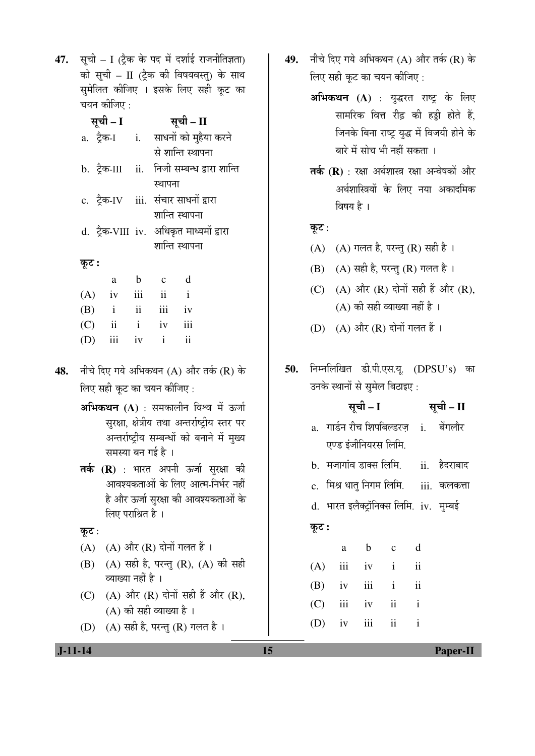47. सूची – I (ट्रैक के पद में दर्शाई राजनीतिज्ञता) को सूची – II (ट्रैक की विषयवस्तु) के साथ सुमेलित कीजिए । इसके लिए सही कूट का चयन कीजिए :

|       | सूची – I          |     |                          | सूची – II                                   |
|-------|-------------------|-----|--------------------------|---------------------------------------------|
|       |                   |     |                          | a. ट्रैक-I i. साधनों को मुहैया करने         |
|       |                   |     |                          | से शान्ति स्थापना                           |
|       |                   |     |                          | b. ट्रैक-III ii. निजी सम्बन्ध द्वारा शान्ति |
|       |                   |     | स्थापना                  |                                             |
|       |                   |     |                          | c. ट्रैक-IV iii. संचार साधनों द्वारा        |
|       |                   |     |                          | शान्ति स्थापना                              |
|       |                   |     |                          | d. ट्रैक-VIII iv. अधिकृत माध्यमों द्वारा    |
|       |                   |     |                          | शान्ति स्थापना                              |
| कूट : |                   |     |                          |                                             |
|       | a                 | b   | $\mathbf c$              | d                                           |
|       | $(A)$ iv          | iii | $\overline{\mathbf{ii}}$ | $\mathbf{i}$                                |
|       | $(B)$ i ii iii    |     |                          | iv                                          |
|       | $(C)$ ii i iv iii |     |                          |                                             |
| (D)   | iii               |     | iv i                     | $\ddot{\mathbf{i}}$                         |
|       |                   |     |                          |                                             |

- 48. नीचे दिए गये अभिकथन (A) और तर्क (R) के लिए सही कुट का चयन कीजिए :
	- **अभिकथन (A)** : समकालीन विश्व में ऊर्जा सुरक्षा, क्षेत्रीय तथा अन्तर्राष्ट्रीय स्तर पर अन्तर्राष्ट्रीय सम्बन्धों को बनाने में मुख्य समस्या बन गई है ।
	- तर्क (R) : भारत अपनी ऊर्जा सुरक्षा की आवश्यकताओं के लिए आत्म-निर्भर नहीं है और ऊर्जा सुरक्षा की आवश्यकताओं के लिए पराश्रित है ।

```
कूट:
```
- $(A)$   $(A)$  और  $(R)$  दोनों गलत हैं।
- (B) (A) सही है, परन्तु (R), (A) की सही व्याख्या नहीं है ।
- (C)  $(A)$  और  $(R)$  दोनों सही हैं और  $(R)$ ,  $(A)$  की सही व्याख्या है।
- (D)  $(A)$  सही है, परन्तु (R) गलत है।
- 49. नीचे दिए गये अभिकथन (A) और तर्क (R) के लिए सही कट का चयन कीजिए :
	- **अभिकथन (A)** : युद्धरत राष्ट्र के लिए सामरिक वित्त रीढ की हड्डी होते हैं. जिनके बिना राष्ट्र युद्ध में विजयी होने के बारे में सोच भी नहीं सकता ।
	- तर्क (R) : रक्षा अर्थशास्त्र रक्षा अन्वेषकों और अर्थशास्त्रियों के लिए नया अकादमिक विषय $\dot{\vec{r}}$ ।

कूट:

- $(A)$   $(A)$  गलत है, परन्तु  $(R)$  सही है।
- (B)  $(A)$  सही है, परन्तु (R) गलत है।
- (C)  $(A)$  और  $(R)$  दोनों सही हैं और  $(R)$ ,  $(A)$  की सही व्याख्या नहीं है।
- (D) (A) और (R) दोनों गलत हैं।
- 50. निम्नलिखित डी.पी.एस.यू. (DPSU's) का उनके स्थानों से सुमेल बिठाइए :

|       | सूची – I                                |       | सूची – II |     |                                                |
|-------|-----------------------------------------|-------|-----------|-----|------------------------------------------------|
|       |                                         |       |           |     | a. गार्डन रीच शिपबिल्डरज़ i. बेंगलौर           |
|       | एण्ड इंजीनियरस लिमि.                    |       |           |     |                                                |
|       |                                         |       |           |     | b.  मजागांव डाक्स लिमि.        ii.    हैदराबाद |
|       |                                         |       |           |     | c.  मिश्र धात् निगम लिमि.     iii.  कलकत्ता    |
|       | d. भारत इलैक्ट्रॉनिक्स लिमि. iv. मुम्बई |       |           |     |                                                |
| कूट : |                                         |       |           |     |                                                |
|       | a                                       | b c d |           |     |                                                |
|       | $(A)$ iii iv i ii                       |       |           |     |                                                |
|       | $(D)$ iv iii i                          |       |           | 11. |                                                |

|  | $(D)$ IV III I II |  |
|--|-------------------|--|
|  | $(C)$ iii iv ii i |  |
|  | $(D)$ iv iii ii i |  |